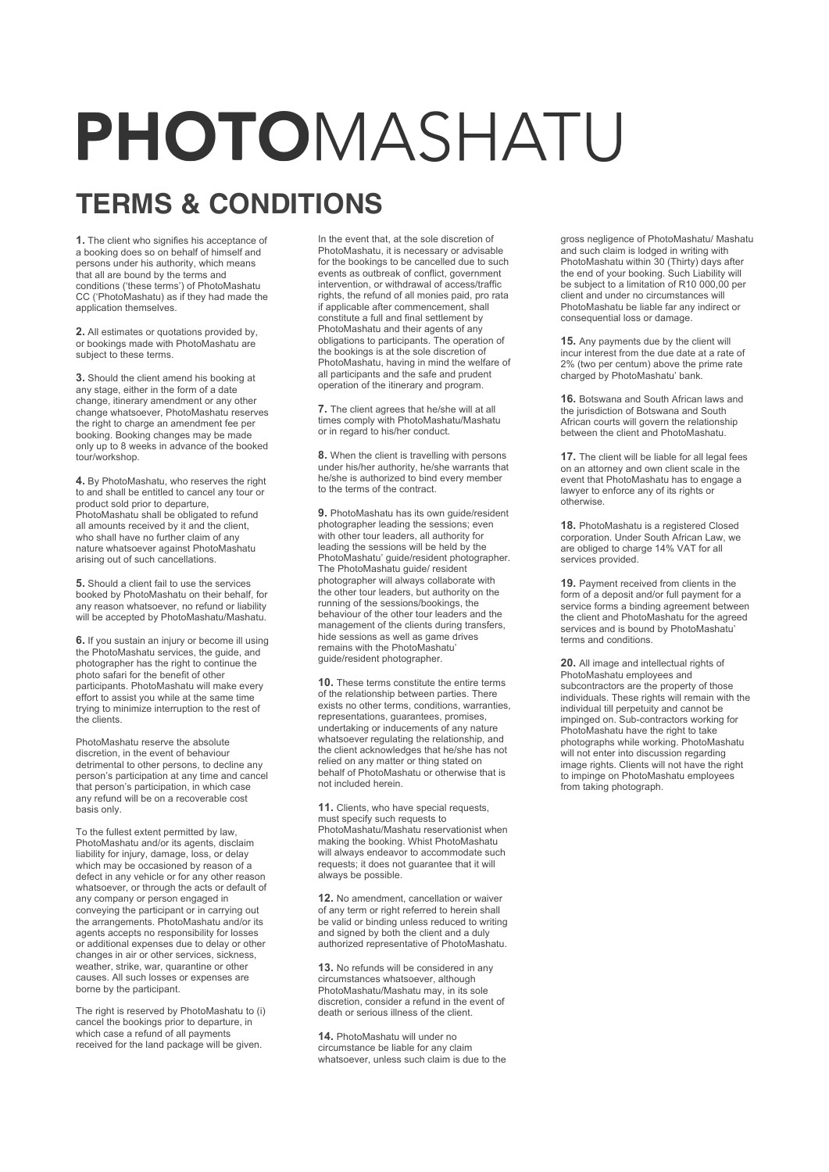## PHOTOMASHATU

## **TERMS & CONDITIONS**

**1.** The client who signifies his acceptance of a booking does so on behalf of himself and persons under his authority, which means that all are bound by the terms and conditions ('these terms') of PhotoMashatu CC ('PhotoMashatu) as if they had made the application themselves.

**2.** All estimates or quotations provided by, or bookings made with PhotoMashatu are subject to these terms.

**3.** Should the client amend his booking at any stage, either in the form of a date change, itinerary amendment or any other change whatsoever, PhotoMashatu reserves the right to charge an amendment fee per booking. Booking changes may be made only up to 8 weeks in advance of the booked tour/workshop.

**4.** By PhotoMashatu, who reserves the right to and shall be entitled to cancel any tour or product sold prior to departure, PhotoMashatu shall be obligated to refund all amounts received by it and the client, who shall have no further claim of any nature whatsoever against PhotoMashatu arising out of such cancellations.

**5.** Should a client fail to use the services booked by PhotoMashatu on their behalf, for any reason whatsoever, no refund or liability will be accepted by PhotoMashatu/Mashatu

**6.** If you sustain an injury or become ill using the PhotoMashatu services, the guide, and photographer has the right to continue the photo safari for the benefit of other participants. PhotoMashatu will make every effort to assist you while at the same time trying to minimize interruption to the rest of the clients.

PhotoMashatu reserve the absolute discretion, in the event of behaviour detrimental to other persons, to decline any person's participation at any time and cancel that person's participation, in which case any refund will be on a recoverable cost basis only.

To the fullest extent permitted by law, PhotoMashatu and/or its agents, disclaim liability for injury, damage, loss, or delay which may be occasioned by reason of a defect in any vehicle or for any other reason whatsoever, or through the acts or default of any company or person engaged in conveying the participant or in carrying out the arrangements. PhotoMashatu and/or its agents accepts no responsibility for losses or additional expenses due to delay or other changes in air or other services, sickness, weather, strike, war, quarantine or other causes. All such losses or expenses are borne by the participant.

The right is reserved by PhotoMashatu to (i) cancel the bookings prior to departure, in which case a refund of all payments received for the land package will be given.

In the event that, at the sole discretion of PhotoMashatu, it is necessary or advisable for the bookings to be cancelled due to such events as outbreak of conflict, government intervention, or withdrawal of access/traffic rights, the refund of all monies paid, pro rata if applicable after commencement, shall constitute a full and final settlement by PhotoMashatu and their agents of any obligations to participants. The operation of the bookings is at the sole discretion of PhotoMashatu, having in mind the welfare of all participants and the safe and prudent operation of the itinerary and program.

**7.** The client agrees that he/she will at all times comply with PhotoMashatu/Mashatu or in regard to his/her conduct.

**8.** When the client is travelling with persons under his/her authority, he/she warrants that he/she is authorized to bind every member to the terms of the contract.

**9.** PhotoMashatu has its own guide/resident photographer leading the sessions; even with other tour leaders, all authority for leading the sessions will be held by the PhotoMashatu' guide/resident photographer. The PhotoMashatu guide/ resident photographer will always collaborate with the other tour leaders, but authority on the running of the sessions/bookings, the behaviour of the other tour leaders and the management of the clients during transfers, hide sessions as well as game drives remains with the PhotoMashatu' guide/resident photographer.

**10.** These terms constitute the entire terms of the relationship between parties. There exists no other terms, conditions, warranties, representations, guarantees, promises, undertaking or inducements of any nature whatsoever regulating the relationship, and the client acknowledges that he/she has not relied on any matter or thing stated on behalf of PhotoMashatu or otherwise that is not included herein.

**11.** Clients, who have special requests, must specify such requests to PhotoMashatu/Mashatu reservationist when making the booking. Whist PhotoMashatu will always endeavor to accommodate such requests; it does not guarantee that it will always be possible.

**12.** No amendment, cancellation or waiver of any term or right referred to herein shall be valid or binding unless reduced to writing and signed by both the client and a duly authorized representative of PhotoMashatu.

**13.** No refunds will be considered in any circumstances whatsoever, although PhotoMashatu/Mashatu may, in its sole discretion, consider a refund in the event of death or serious illness of the client.

**14.** PhotoMashatu will under no circumstance be liable for any claim whatsoever, unless such claim is due to the

gross negligence of PhotoMashatu/ Mashatu and such claim is lodged in writing with PhotoMashatu within 30 (Thirty) days after the end of your booking. Such Liability will be subject to a limitation of R10 000,00 per client and under no circumstances will PhotoMashatu be liable far any indirect or consequential loss or damage.

**15.** Any payments due by the client will incur interest from the due date at a rate of 2% (two per centum) above the prime rate charged by PhotoMashatu' bank.

**16.** Botswana and South African laws and the jurisdiction of Botswana and South African courts will govern the relationship between the client and PhotoMashatu.

**17.** The client will be liable for all legal fees on an attorney and own client scale in the event that PhotoMashatu has to engage a lawyer to enforce any of its rights or otherwise.

**18.** PhotoMashatu is a registered Closed corporation. Under South African Law, we are obliged to charge 14% VAT for all services provided.

**19.** Payment received from clients in the form of a deposit and/or full payment for a service forms a binding agreement between the client and PhotoMashatu for the agreed services and is bound by PhotoMashatu' terms and conditions.

**20.** All image and intellectual rights of PhotoMashatu employees and subcontractors are the property of those individuals. These rights will remain with the individual till perpetuity and cannot be impinged on. Sub-contractors working for PhotoMashatu have the right to take photographs while working. PhotoMashatu will not enter into discussion regarding image rights. Clients will not have the right to impinge on PhotoMashatu employees from taking photograph.